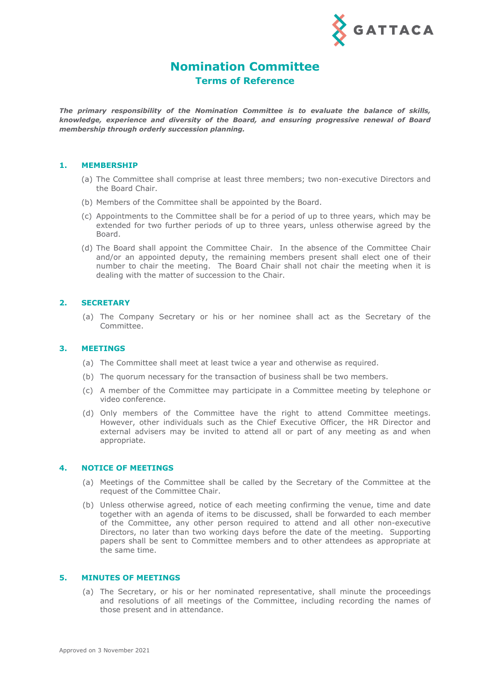

# **Nomination Committee Terms of Reference**

*The primary responsibility of the Nomination Committee is to evaluate the balance of skills, knowledge, experience and diversity of the Board, and ensuring progressive renewal of Board membership through orderly succession planning.*

### **1. MEMBERSHIP**

- (a) The Committee shall comprise at least three members; two non-executive Directors and the Board Chair.
- (b) Members of the Committee shall be appointed by the Board.
- (c) Appointments to the Committee shall be for a period of up to three years, which may be extended for two further periods of up to three years, unless otherwise agreed by the Board.
- (d) The Board shall appoint the Committee Chair. In the absence of the Committee Chair and/or an appointed deputy, the remaining members present shall elect one of their number to chair the meeting. The Board Chair shall not chair the meeting when it is dealing with the matter of succession to the Chair.

# **2. SECRETARY**

(a) The Company Secretary or his or her nominee shall act as the Secretary of the Committee.

### **3. MEETINGS**

- (a) The Committee shall meet at least twice a year and otherwise as required.
- (b) The quorum necessary for the transaction of business shall be two members.
- (c) A member of the Committee may participate in a Committee meeting by telephone or video conference.
- (d) Only members of the Committee have the right to attend Committee meetings. However, other individuals such as the Chief Executive Officer, the HR Director and external advisers may be invited to attend all or part of any meeting as and when appropriate.

### **4. NOTICE OF MEETINGS**

- (a) Meetings of the Committee shall be called by the Secretary of the Committee at the request of the Committee Chair.
- (b) Unless otherwise agreed, notice of each meeting confirming the venue, time and date together with an agenda of items to be discussed, shall be forwarded to each member of the Committee, any other person required to attend and all other non-executive Directors, no later than two working days before the date of the meeting. Supporting papers shall be sent to Committee members and to other attendees as appropriate at the same time.

#### **5. MINUTES OF MEETINGS**

(a) The Secretary, or his or her nominated representative, shall minute the proceedings and resolutions of all meetings of the Committee, including recording the names of those present and in attendance.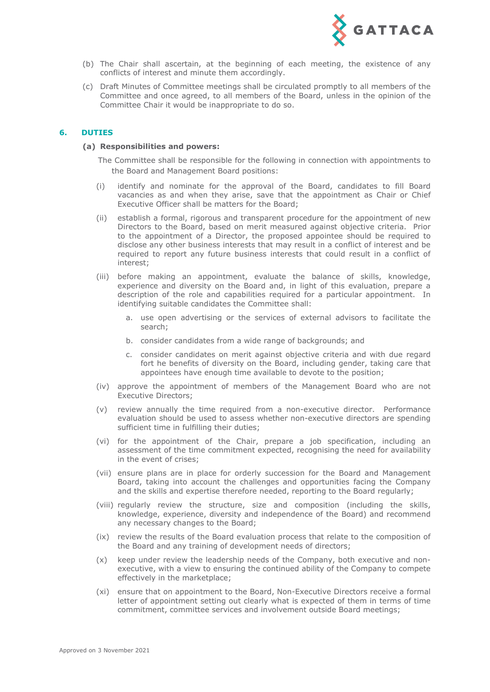

- (b) The Chair shall ascertain, at the beginning of each meeting, the existence of any conflicts of interest and minute them accordingly.
- (c) Draft Minutes of Committee meetings shall be circulated promptly to all members of the Committee and once agreed, to all members of the Board, unless in the opinion of the Committee Chair it would be inappropriate to do so.

## **6. DUTIES**

#### **(a) Responsibilities and powers:**

The Committee shall be responsible for the following in connection with appointments to the Board and Management Board positions:

- (i) identify and nominate for the approval of the Board, candidates to fill Board vacancies as and when they arise, save that the appointment as Chair or Chief Executive Officer shall be matters for the Board;
- (ii) establish a formal, rigorous and transparent procedure for the appointment of new Directors to the Board, based on merit measured against objective criteria. Prior to the appointment of a Director, the proposed appointee should be required to disclose any other business interests that may result in a conflict of interest and be required to report any future business interests that could result in a conflict of interest;
- (iii) before making an appointment, evaluate the balance of skills, knowledge, experience and diversity on the Board and, in light of this evaluation, prepare a description of the role and capabilities required for a particular appointment. In identifying suitable candidates the Committee shall:
	- a. use open advertising or the services of external advisors to facilitate the search;
	- b. consider candidates from a wide range of backgrounds; and
	- c. consider candidates on merit against objective criteria and with due regard fort he benefits of diversity on the Board, including gender, taking care that appointees have enough time available to devote to the position;
- (iv) approve the appointment of members of the Management Board who are not Executive Directors;
- (v) review annually the time required from a non-executive director. Performance evaluation should be used to assess whether non-executive directors are spending sufficient time in fulfilling their duties;
- (vi) for the appointment of the Chair, prepare a job specification, including an assessment of the time commitment expected, recognising the need for availability in the event of crises;
- (vii) ensure plans are in place for orderly succession for the Board and Management Board, taking into account the challenges and opportunities facing the Company and the skills and expertise therefore needed, reporting to the Board regularly;
- (viii) regularly review the structure, size and composition (including the skills, knowledge, experience, diversity and independence of the Board) and recommend any necessary changes to the Board;
- (ix) review the results of the Board evaluation process that relate to the composition of the Board and any training of development needs of directors;
- (x) keep under review the leadership needs of the Company, both executive and nonexecutive, with a view to ensuring the continued ability of the Company to compete effectively in the marketplace;
- (xi) ensure that on appointment to the Board, Non-Executive Directors receive a formal letter of appointment setting out clearly what is expected of them in terms of time commitment, committee services and involvement outside Board meetings;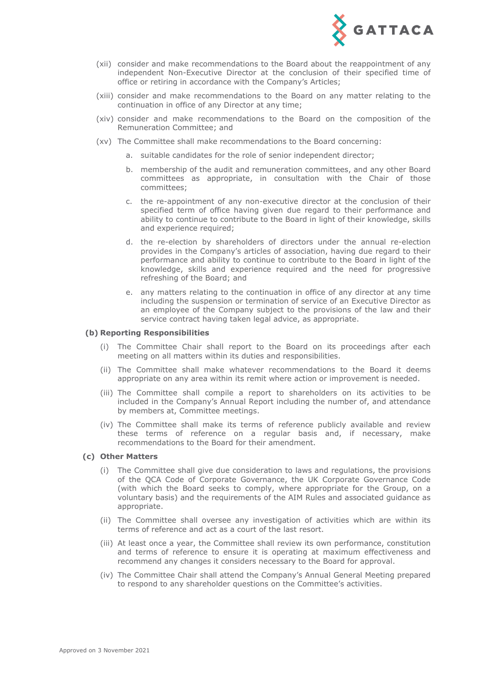

- (xii) consider and make recommendations to the Board about the reappointment of any independent Non-Executive Director at the conclusion of their specified time of office or retiring in accordance with the Company's Articles;
- (xiii) consider and make recommendations to the Board on any matter relating to the continuation in office of any Director at any time;
- (xiv) consider and make recommendations to the Board on the composition of the Remuneration Committee; and
- (xv) The Committee shall make recommendations to the Board concerning:
	- a. suitable candidates for the role of senior independent director;
	- b. membership of the audit and remuneration committees, and any other Board committees as appropriate, in consultation with the Chair of those committees;
	- c. the re-appointment of any non-executive director at the conclusion of their specified term of office having given due regard to their performance and ability to continue to contribute to the Board in light of their knowledge, skills and experience required;
	- d. the re-election by shareholders of directors under the annual re-election provides in the Company's articles of association, having due regard to their performance and ability to continue to contribute to the Board in light of the knowledge, skills and experience required and the need for progressive refreshing of the Board; and
	- e. any matters relating to the continuation in office of any director at any time including the suspension or termination of service of an Executive Director as an employee of the Company subject to the provisions of the law and their service contract having taken legal advice, as appropriate.

#### **(b) Reporting Responsibilities**

- (i) The Committee Chair shall report to the Board on its proceedings after each meeting on all matters within its duties and responsibilities.
- (ii) The Committee shall make whatever recommendations to the Board it deems appropriate on any area within its remit where action or improvement is needed.
- (iii) The Committee shall compile a report to shareholders on its activities to be included in the Company's Annual Report including the number of, and attendance by members at, Committee meetings.
- (iv) The Committee shall make its terms of reference publicly available and review these terms of reference on a regular basis and, if necessary, make recommendations to the Board for their amendment.

### **(c) Other Matters**

- (i) The Committee shall give due consideration to laws and regulations, the provisions of the QCA Code of Corporate Governance, the UK Corporate Governance Code (with which the Board seeks to comply, where appropriate for the Group, on a voluntary basis) and the requirements of the AIM Rules and associated guidance as appropriate.
- (ii) The Committee shall oversee any investigation of activities which are within its terms of reference and act as a court of the last resort.
- (iii) At least once a year, the Committee shall review its own performance, constitution and terms of reference to ensure it is operating at maximum effectiveness and recommend any changes it considers necessary to the Board for approval.
- (iv) The Committee Chair shall attend the Company's Annual General Meeting prepared to respond to any shareholder questions on the Committee's activities.